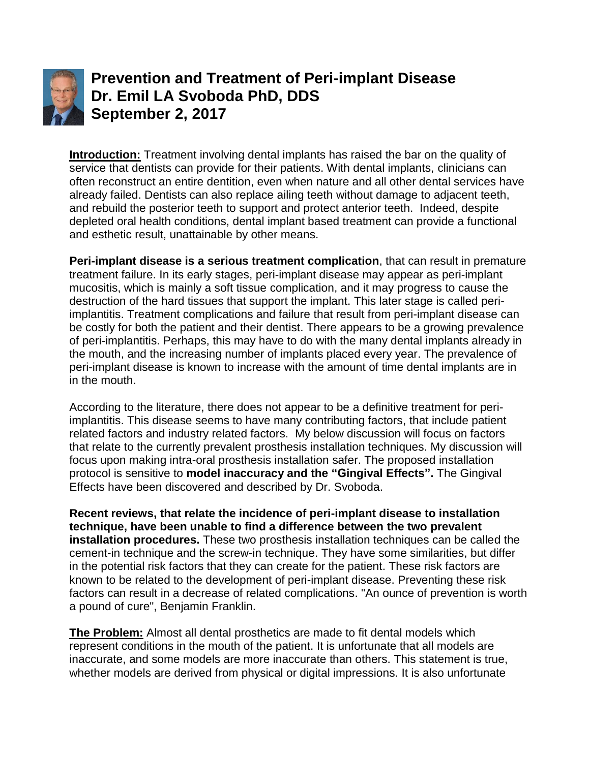

**Prevention and Treatment of Peri-implant Disease Dr. Emil LA Svoboda PhD, DDS September 2, 2017**

**Introduction:** Treatment involving dental implants has raised the bar on the quality of service that dentists can provide for their patients. With dental implants, clinicians can often reconstruct an entire dentition, even when nature and all other dental services have already failed. Dentists can also replace ailing teeth without damage to adjacent teeth, and rebuild the posterior teeth to support and protect anterior teeth. Indeed, despite depleted oral health conditions, dental implant based treatment can provide a functional and esthetic result, unattainable by other means.

**Peri-implant disease is a serious treatment complication**, that can result in premature treatment failure. In its early stages, peri-implant disease may appear as peri-implant mucositis, which is mainly a soft tissue complication, and it may progress to cause the destruction of the hard tissues that support the implant. This later stage is called periimplantitis. Treatment complications and failure that result from peri-implant disease can be costly for both the patient and their dentist. There appears to be a growing prevalence of peri-implantitis. Perhaps, this may have to do with the many dental implants already in the mouth, and the increasing number of implants placed every year. The prevalence of peri-implant disease is known to increase with the amount of time dental implants are in in the mouth.

According to the literature, there does not appear to be a definitive treatment for periimplantitis. This disease seems to have many contributing factors, that include patient related factors and industry related factors. My below discussion will focus on factors that relate to the currently prevalent prosthesis installation techniques. My discussion will focus upon making intra-oral prosthesis installation safer. The proposed installation protocol is sensitive to **model inaccuracy and the "Gingival Effects".** The Gingival Effects have been discovered and described by Dr. Svoboda.

**Recent reviews, that relate the incidence of peri-implant disease to installation technique, have been unable to find a difference between the two prevalent installation procedures.** These two prosthesis installation techniques can be called the cement-in technique and the screw-in technique. They have some similarities, but differ in the potential risk factors that they can create for the patient. These risk factors are known to be related to the development of peri-implant disease. Preventing these risk factors can result in a decrease of related complications. "An ounce of prevention is worth a pound of cure", Benjamin Franklin.

**The Problem:** Almost all dental prosthetics are made to fit dental models which represent conditions in the mouth of the patient. It is unfortunate that all models are inaccurate, and some models are more inaccurate than others. This statement is true, whether models are derived from physical or digital impressions. It is also unfortunate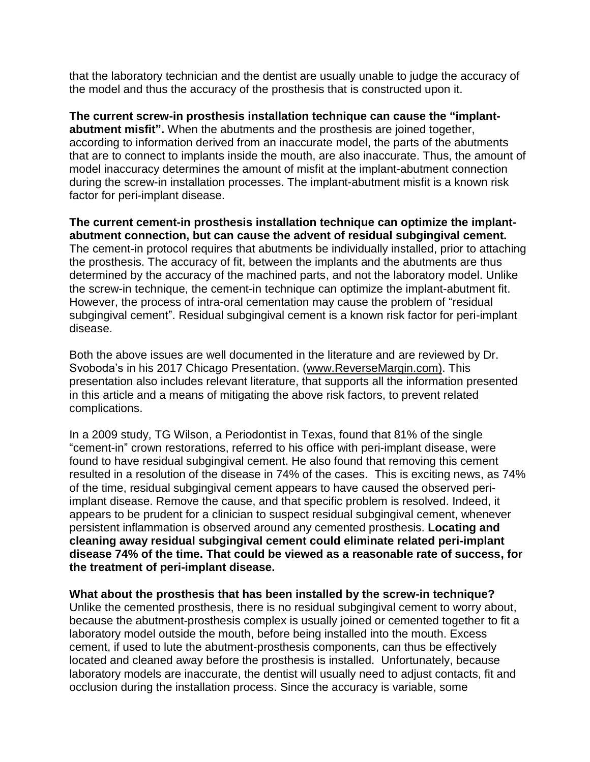that the laboratory technician and the dentist are usually unable to judge the accuracy of the model and thus the accuracy of the prosthesis that is constructed upon it.

**The current screw-in prosthesis installation technique can cause the "implantabutment misfit".** When the abutments and the prosthesis are joined together, according to information derived from an inaccurate model, the parts of the abutments that are to connect to implants inside the mouth, are also inaccurate. Thus, the amount of model inaccuracy determines the amount of misfit at the implant-abutment connection during the screw-in installation processes. The implant-abutment misfit is a known risk factor for peri-implant disease.

**The current cement-in prosthesis installation technique can optimize the implantabutment connection, but can cause the advent of residual subgingival cement.**  The cement-in protocol requires that abutments be individually installed, prior to attaching the prosthesis. The accuracy of fit, between the implants and the abutments are thus determined by the accuracy of the machined parts, and not the laboratory model. Unlike the screw-in technique, the cement-in technique can optimize the implant-abutment fit. However, the process of intra-oral cementation may cause the problem of "residual subgingival cement". Residual subgingival cement is a known risk factor for peri-implant disease.

Both the above issues are well documented in the literature and are reviewed by Dr. Svoboda's in his 2017 Chicago Presentation. [\(www.ReverseMargin.com\)](http://www.reversemargin.com/). This presentation also includes relevant literature, that supports all the information presented in this article and a means of mitigating the above risk factors, to prevent related complications.

In a 2009 study, TG Wilson, a Periodontist in Texas, found that 81% of the single "cement-in" crown restorations, referred to his office with peri-implant disease, were found to have residual subgingival cement. He also found that removing this cement resulted in a resolution of the disease in 74% of the cases. This is exciting news, as 74% of the time, residual subgingival cement appears to have caused the observed periimplant disease. Remove the cause, and that specific problem is resolved. Indeed, it appears to be prudent for a clinician to suspect residual subgingival cement, whenever persistent inflammation is observed around any cemented prosthesis. **Locating and cleaning away residual subgingival cement could eliminate related peri-implant disease 74% of the time. That could be viewed as a reasonable rate of success, for the treatment of peri-implant disease.**

**What about the prosthesis that has been installed by the screw-in technique?** Unlike the cemented prosthesis, there is no residual subgingival cement to worry about, because the abutment-prosthesis complex is usually joined or cemented together to fit a laboratory model outside the mouth, before being installed into the mouth. Excess cement, if used to lute the abutment-prosthesis components, can thus be effectively located and cleaned away before the prosthesis is installed. Unfortunately, because laboratory models are inaccurate, the dentist will usually need to adjust contacts, fit and occlusion during the installation process. Since the accuracy is variable, some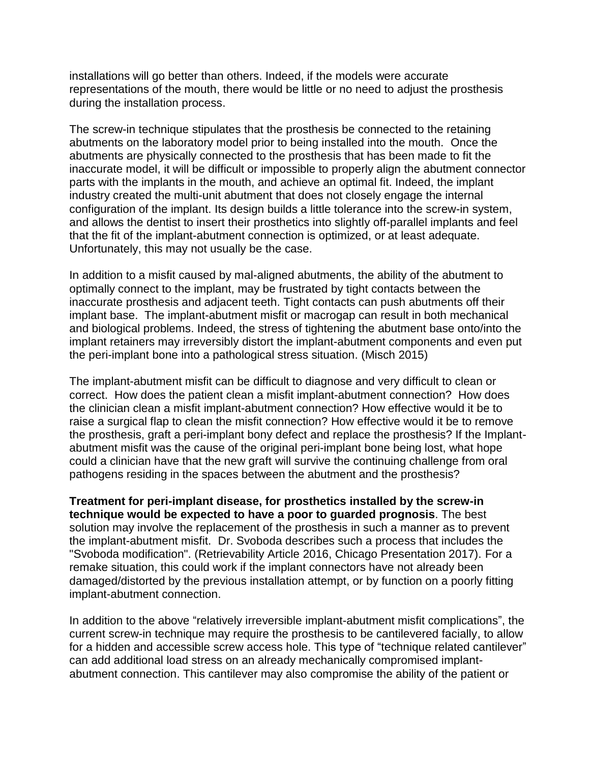installations will go better than others. Indeed, if the models were accurate representations of the mouth, there would be little or no need to adjust the prosthesis during the installation process.

The screw-in technique stipulates that the prosthesis be connected to the retaining abutments on the laboratory model prior to being installed into the mouth. Once the abutments are physically connected to the prosthesis that has been made to fit the inaccurate model, it will be difficult or impossible to properly align the abutment connector parts with the implants in the mouth, and achieve an optimal fit. Indeed, the implant industry created the multi-unit abutment that does not closely engage the internal configuration of the implant. Its design builds a little tolerance into the screw-in system, and allows the dentist to insert their prosthetics into slightly off-parallel implants and feel that the fit of the implant-abutment connection is optimized, or at least adequate. Unfortunately, this may not usually be the case.

In addition to a misfit caused by mal-aligned abutments, the ability of the abutment to optimally connect to the implant, may be frustrated by tight contacts between the inaccurate prosthesis and adjacent teeth. Tight contacts can push abutments off their implant base. The implant-abutment misfit or macrogap can result in both mechanical and biological problems. Indeed, the stress of tightening the abutment base onto/into the implant retainers may irreversibly distort the implant-abutment components and even put the peri-implant bone into a pathological stress situation. (Misch 2015)

The implant-abutment misfit can be difficult to diagnose and very difficult to clean or correct. How does the patient clean a misfit implant-abutment connection? How does the clinician clean a misfit implant-abutment connection? How effective would it be to raise a surgical flap to clean the misfit connection? How effective would it be to remove the prosthesis, graft a peri-implant bony defect and replace the prosthesis? If the Implantabutment misfit was the cause of the original peri-implant bone being lost, what hope could a clinician have that the new graft will survive the continuing challenge from oral pathogens residing in the spaces between the abutment and the prosthesis?

**Treatment for peri-implant disease, for prosthetics installed by the screw-in technique would be expected to have a poor to guarded prognosis**. The best solution may involve the replacement of the prosthesis in such a manner as to prevent the implant-abutment misfit. Dr. Svoboda describes such a process that includes the "Svoboda modification". (Retrievability Article 2016, Chicago Presentation 2017). For a remake situation, this could work if the implant connectors have not already been damaged/distorted by the previous installation attempt, or by function on a poorly fitting implant-abutment connection.

In addition to the above "relatively irreversible implant-abutment misfit complications", the current screw-in technique may require the prosthesis to be cantilevered facially, to allow for a hidden and accessible screw access hole. This type of "technique related cantilever" can add additional load stress on an already mechanically compromised implantabutment connection. This cantilever may also compromise the ability of the patient or